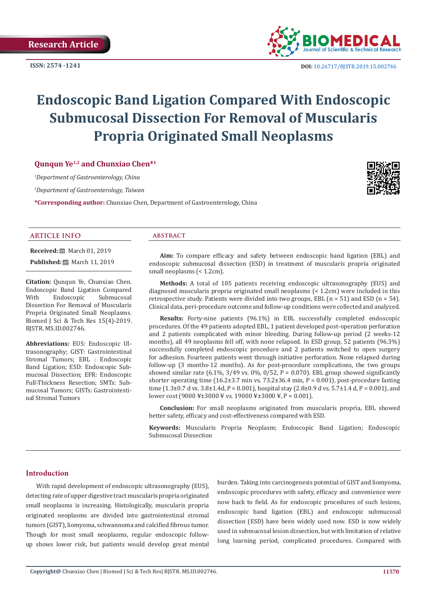**ISSN: 2574 -1241**



 **DOI:** [10.26717/BJSTR.2019.15.0027](http://dx.doi.org/10.26717/BJSTR.2019.15.002746)46

# **Endoscopic Band Ligation Compared With Endoscopic Submucosal Dissection For Removal of Muscularis Propria Originated Small Neoplasms**

# **Qunqun Ye1,2 and Chunxiao Chen\*1**

*1 Department of Gastroenterology, China*

*2 Department of Gastroenterology, Taiwan*

**\*Corresponding author:** Chunxiao Chen, Department of Gastroenterology, China



# **ARTICLE INFO abstract**

**Received:** March 01, 2019

**Published:** ■ March 11, 2019

**Citation:** Qunqun Ye, Chunxiao Chen. Endoscopic Band Ligation Compared Submucosal Dissection For Removal of Muscularis Propria Originated Small Neoplasms. Biomed J Sci & Tech Res 15(4)-2019. BJSTR. MS.ID.002746.

**Abbreviations:** EUS: Endoscopic Ultrasonography; GIST: Gastrointestinal Stromal Tumors; EBL : Endoscopic Band Ligation; ESD: Endoscopic Submucosal Dissection; EFR: Endoscopic Full-Thickness Resection; SMTs: Submucosal Tumors; GISTs: Gastrointestinal Stromal Tumors

**Aim:** To compare efficacy and safety between endoscopic band ligation (EBL) and endoscopic submucosal dissection (ESD) in treatment of muscularis propria originated small neoplasms (< 1.2cm).

**Methods:** A total of 105 patients receiving endoscopic ultrasonography (EUS) and diagnosed muscularis propria originated small neoplasms (< 1.2cm) were included in this retrospective study. Patients were divided into two groups, EBL  $(n = 51)$  and ESD  $(n = 54)$ . Clinical data, peri-procedure outcome and follow-up conditions were collected and analyzed.

**Results:** Forty-nine patients (96.1%) in EBL successfully completed endoscopic procedures. Of the 49 patients adopted EBL, 1 patient developed post-operation perforation and 2 patients complicated with minor bleeding. During follow-up period (2 weeks-12 months), all 49 neoplasms fell off, with none relapsed. In ESD group, 52 patients (96.3%) successfully completed endoscopic procedure and 2 patients switched to open surgery for adhesion. Fourteen patients went through initiative perforation. None relapsed during follow-up (3 months-12 months). As for post-procedure complications, the two groups showed similar rate (6.1%, 3/49 vs. 0%, 0/52, P = 0.070). EBL group showed significantly shorter operating time (16.2±3.7 min vs.  $73.2\pm36.4$  min, P = 0.001), post-procedure fasting time  $(1.3\pm0.7 \text{ d} \text{ vs. } 3.8\pm1.4 \text{ d}, P = 0.001)$ , hospital stay  $(2.8\pm0.9 \text{ d} \text{ vs. } 5.7\pm1.4 \text{ d}, P = 0.001)$ , and lower cost (9000 ¥±3000 ¥ vs. 19000 ¥±3000 ¥, P = 0.001).

**Conclusion:** For small neoplasms originated from muscularis propria, EBL showed better safety, efficacy and cost-effectiveness compared with ESD.

**Keywords:** Muscularis Propria Neoplasm; Endoscopic Band Ligation; Endoscopic Submucosal Dissection

### **Introduction**

With rapid development of endoscopic ultrasonography (EUS), detecting rate of upper digestive tract muscularis propria originated small neoplasms is increasing. Histologically, muscularis propria originated neoplasms are divided into gastrointestinal stromal tumors (GIST), liomyoma, schwannoma and calcified fibrous tumor. Though for most small neoplasms, regular endoscopic followup shows lower risk, but patients would develop great mental

burden. Taking into carcinogenesis potential of GIST and liomyoma, endoscopic procedures with safety, efficacy and convenience were now back to field. As for endoscopic procedures of such lesions, endoscopic band ligation (EBL) and endoscopic submucosal dissection (ESD) have been widely used now. ESD is now widely used in submucosal lesion dissection, but with limitation of relative long learning period, complicated procedures. Compared with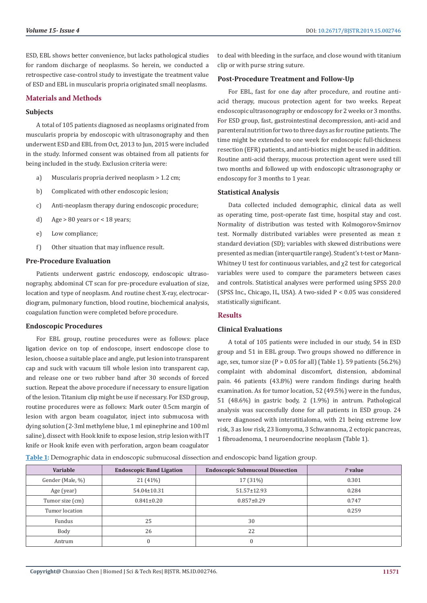ESD, EBL shows better convenience, but lacks pathological studies for random discharge of neoplasms. So herein, we conducted a retrospective case-control study to investigate the treatment value of ESD and EBL in muscularis propria originated small neoplasms.

# **Materials and Methods**

#### **Subjects**

A total of 105 patients diagnosed as neoplasms originated from muscularis propria by endoscopic with ultrasonography and then underwent ESD and EBL from Oct, 2013 to Jun, 2015 were included in the study. Informed consent was obtained from all patients for being included in the study. Exclusion criteria were:

- a) Muscularis propria derived neoplasm > 1.2 cm;
- b) Complicated with other endoscopic lesion;
- c) Anti-neoplasm therapy during endoscopic procedure;
- d) Age  $> 80$  years or  $< 18$  years;
- e) Low compliance;
- f) Other situation that may influence result.

#### **Pre-Procedure Evaluation**

Patients underwent gastric endoscopy, endoscopic ultrasonography, abdominal CT scan for pre-procedure evaluation of size, location and type of neoplasm. And routine chest X-ray, electrocardiogram, pulmonary function, blood routine, biochemical analysis, coagulation function were completed before procedure.

# **Endoscopic Procedures**

For EBL group, routine procedures were as follows: place ligation device on top of endoscope, insert endoscope close to lesion, choose a suitable place and angle, put lesion into transparent cap and suck with vacuum till whole lesion into transparent cap, and release one or two rubber band after 30 seconds of forced suction. Repeat the above procedure if necessary to ensure ligation of the lesion. Titanium clip might be use if necessary. For ESD group, routine procedures were as follows: Mark outer 0.5cm margin of lesion with argon beam coagulator, inject into submucosa with dying solution (2-3ml methylene blue, 1 ml epinephrine and 100 ml saline), dissect with Hook knife to expose lesion, strip lesion with IT knife or Hook knife even with perforation, argon beam coagulator

to deal with bleeding in the surface, and close wound with titanium clip or with purse string suture.

#### **Post-Procedure Treatment and Follow-Up**

For EBL, fast for one day after procedure, and routine antiacid therapy, mucous protection agent for two weeks. Repeat endoscopic ultrasonography or endoscopy for 2 weeks or 3 months. For ESD group, fast, gastrointestinal decompression, anti-acid and parenteral nutrition for two to three days as for routine patients. The time might be extended to one week for endoscopic full-thickness resection (EFR) patients, and anti-biotics might be used in addition. Routine anti-acid therapy, mucous protection agent were used till two months and followed up with endoscopic ultrasonography or endoscopy for 3 months to 1 year.

#### **Statistical Analysis**

Data collected included demographic, clinical data as well as operating time, post-operate fast time, hospital stay and cost. Normality of distribution was tested with Kolmogorov-Smirnov test. Normally distributed variables were presented as mean ± standard deviation (SD); variables with skewed distributions were presented as median (interquartile range). Student's t-test or Mann-Whitney U test for continuous variables, and χ2 test for categorical variables were used to compare the parameters between cases and controls. Statistical analyses were performed using SPSS 20.0 (SPSS Inc., Chicago, IL, USA). A two-sided P < 0.05 was considered statistically significant.

#### **Results**

# **Clinical Evaluations**

A total of 105 patients were included in our study, 54 in ESD group and 51 in EBL group. Two groups showed no difference in age, sex, tumor size ( $P > 0.05$  for all) (Table 1). 59 patients (56.2%) complaint with abdominal discomfort, distension, abdominal pain. 46 patients (43.8%) were random findings during health examination. As for tumor location, 52 (49.5%) were in the fundus, 51 (48.6%) in gastric body, 2 (1.9%) in antrum. Pathological analysis was successfully done for all patients in ESD group. 24 were diagnosed with interatitialoma, with 21 being extreme low risk, 3 as low risk, 23 liomyoma, 3 Schwannoma, 2 ectopic pancreas, 1 fibroadenoma, 1 neuroendocrine neoplasm (Table 1).

**Table 1:** Demographic data in endoscopic submucosal dissection and endoscopic band ligation group.

| Variable         | <b>Endoscopic Band Ligation</b> | <b>Endoscopic Submucosal Dissection</b> | $P$ value |
|------------------|---------------------------------|-----------------------------------------|-----------|
| Gender (Male, %) | 21 (41%)                        | 17 (31%)                                | 0.301     |
| Age (year)       | 54.04±10.31                     | $51.57 \pm 12.93$                       | 0.284     |
| Tumor size (cm)  | $0.841 \pm 0.20$                | $0.857 \pm 0.29$                        | 0.747     |
| Tumor location   |                                 |                                         | 0.259     |
| Fundus           | 25                              | 30                                      |           |
| Body             | 26                              | 22                                      |           |
| Antrum           | 0                               |                                         |           |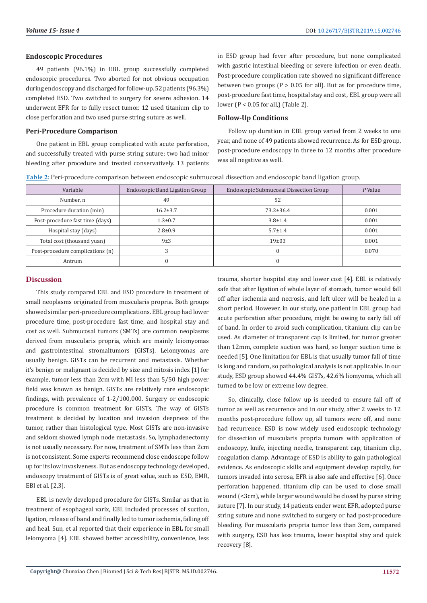#### **Endoscopic Procedures**

49 patients (96.1%) in EBL group successfully completed endoscopic procedures. Two aborted for not obvious occupation during endoscopy and discharged for follow-up. 52 patients (96.3%) completed ESD. Two switched to surgery for severe adhesion. 14 underwent EFR for to fully resect tumor. 12 used titanium clip to close perforation and two used purse string suture as well.

### **Peri-Procedure Comparison**

One patient in EBL group complicated with acute perforation, and successfully treated with purse string suture; two had minor bleeding after procedure and treated conservatively. 13 patients in ESD group had fever after procedure, but none complicated with gastric intestinal bleeding or severe infection or even death. Post-procedure complication rate showed no significant difference between two groups ( $P > 0.05$  for all). But as for procedure time, post-procedure fast time, hospital stay and cost, EBL group were all lower (P < 0.05 for all,) (Table 2).

# **Follow-Up Conditions**

Follow up duration in EBL group varied from 2 weeks to one year, and none of 49 patients showed recurrence. As for ESD group, post-procedure endoscopy in three to 12 months after procedure was all negative as well.

| Table 2: Peri-procedure comparison between endoscopic submucosal dissection and endoscopic band ligation group. |  |  |  |  |
|-----------------------------------------------------------------------------------------------------------------|--|--|--|--|
|                                                                                                                 |  |  |  |  |

| Variable                         | Endoscopic Band Ligation Group | Endoscopic Submucosal Dissection Group | P Value |
|----------------------------------|--------------------------------|----------------------------------------|---------|
| Number, n                        | 49                             | 52                                     |         |
| Procedure duration (min)         | $16.2 \pm 3.7$                 | $73.2 \pm 36.4$                        | 0.001   |
| Post-procedure fast time (days)  | $1.3 \pm 0.7$                  | $3.8 \pm 1.4$                          | 0.001   |
| Hospital stay (days)             | $2.8 \pm 0.9$                  | $5.7 \pm 1.4$                          | 0.001   |
| Total cost (thousand yuan)       | 9±3                            | 19±03                                  | 0.001   |
| Post-procedure complications (n) |                                | 0                                      | 0.070   |
| Antrum                           |                                |                                        |         |

# **Discussion**

This study compared EBL and ESD procedure in treatment of small neoplasms originated from muscularis propria. Both groups showed similar peri-procedure complications. EBL group had lower procedure time, post-procedure fast time, and hospital stay and cost as well. Submucosal tumors (SMTs) are common neoplasms derived from muscularis propria, which are mainly leiomyomas and gastrointestinal stromaltumors (GISTs). Leiomyomas are usually benign. GISTs can be recurrent and metastasis. Whether it's benign or malignant is decided by size and mitosis index [1] for example, tumor less than 2cm with MI less than 5/50 high power field was known as benign. GISTs are relatively rare endoscopic findings, with prevalence of 1-2/100,000. Surgery or endoscopic procedure is common treatment for GISTs. The way of GISTs treatment is decided by location and invasion deepness of the tumor, rather than histological type. Most GISTs are non-invasive and seldom showed lymph node metastasis. So, lymphadenectomy is not usually necessary. For now, treatment of SMTs less than 2cm is not consistent. Some experts recommend close endoscope follow up for its low invasiveness. But as endoscopy technology developed, endoscopy treatment of GISTs is of great value, such as ESD, EMR, EBl et al. [2,3].

EBL is newly developed procedure for GISTs. Similar as that in treatment of esophageal varix, EBL included processes of suction, ligation, release of band and finally led to tumor ischemia, falling off and heal. Sun, et al reported that their experience in EBL for small leiomyoma [4]. EBL showed better accessibility, convenience, less

trauma, shorter hospital stay and lower cost [4]. EBL is relatively safe that after ligation of whole layer of stomach, tumor would fall off after ischemia and necrosis, and left ulcer will be healed in a short period. However, in our study, one patient in EBL group had acute perforation after procedure, might be owing to early fall off of band. In order to avoid such complication, titanium clip can be used. As diameter of transparent cap is limited, for tumor greater than 12mm, complete suction was hard, so longer suction time is needed [5]. One limitation for EBL is that usually tumor fall of time is long and random, so pathological analysis is not applicable. In our study, ESD group showed 44.4% GISTs, 42.6% liomyoma, which all turned to be low or extreme low degree.

So, clinically, close follow up is needed to ensure fall off of tumor as well as recurrence and in our study, after 2 weeks to 12 months post-procedure follow up, all tumors were off, and none had recurrence. ESD is now widely used endoscopic technology for dissection of muscularis propria tumors with application of endoscopy, knife, injecting needle, transparent cap, titanium clip, coagulation clamp. Advantage of ESD is ability to gain pathological evidence. As endoscopic skills and equipment develop rapidly, for tumors invaded into serosa, EFR is also safe and effective [6]. Once perforation happened, titanium clip can be used to close small wound (<3cm), while larger wound would be closed by purse string suture [7]. In our study, 14 patients ender went EFR, adopted purse string suture and none switched to surgery or had post-procedure bleeding. For muscularis propria tumor less than 3cm, compared with surgery. ESD has less trauma, lower hospital stay and quick recovery [8].